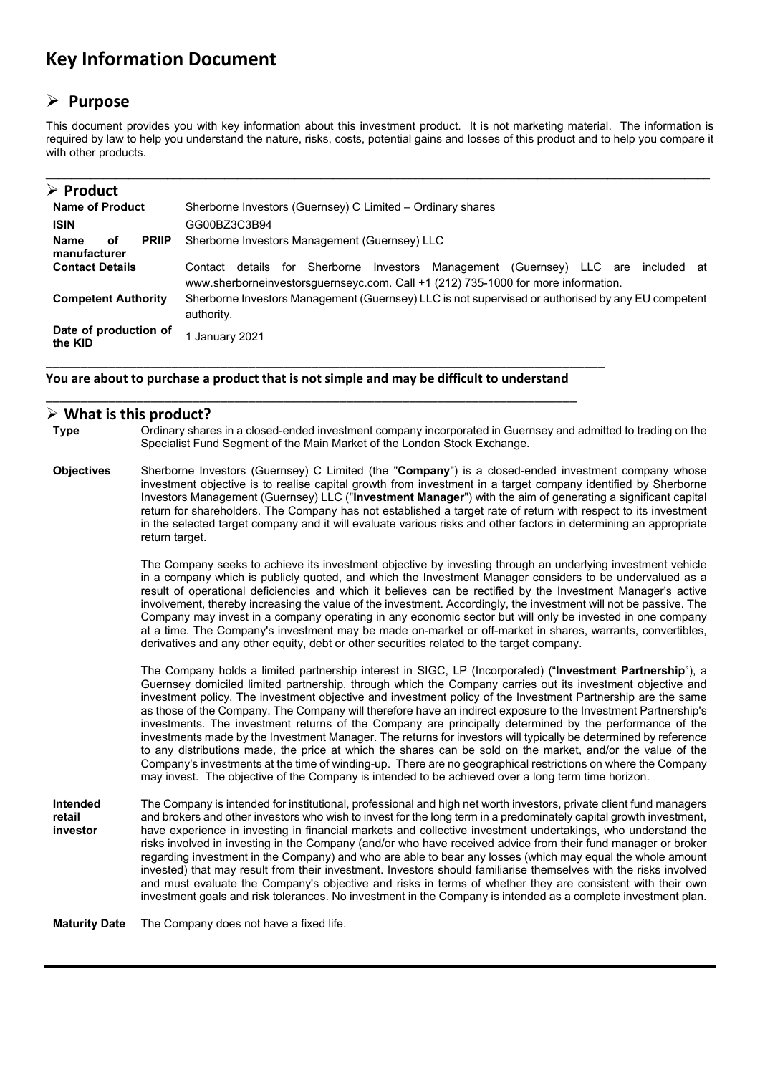# **Key Information Document**

## **Purpose**

This document provides you with key information about this investment product. It is not marketing material. The information is required by law to help you understand the nature, risks, costs, potential gains and losses of this product and to help you compare it with other products.

| $\triangleright$ Product                                                                           |                                                                                                                                                                                          |  |  |  |
|----------------------------------------------------------------------------------------------------|------------------------------------------------------------------------------------------------------------------------------------------------------------------------------------------|--|--|--|
| <b>Name of Product</b>                                                                             | Sherborne Investors (Guernsey) C Limited - Ordinary shares                                                                                                                               |  |  |  |
| <b>ISIN</b>                                                                                        | GG00BZ3C3B94                                                                                                                                                                             |  |  |  |
| Sherborne Investors Management (Guernsey) LLC<br><b>Name</b><br>οf<br><b>PRIIP</b><br>manufacturer |                                                                                                                                                                                          |  |  |  |
| <b>Contact Details</b>                                                                             | Sherborne<br>Investors<br>Management (Guernsey) LLC are included<br>details<br>for<br>Contact<br>at<br>www.sherborneinvestorsguernseyc.com. Call +1 (212) 735-1000 for more information. |  |  |  |
| <b>Competent Authority</b>                                                                         | Sherborne Investors Management (Guernsey) LLC is not supervised or authorised by any EU competent<br>authority.                                                                          |  |  |  |
| Date of production of<br>the KID                                                                   | January 2021                                                                                                                                                                             |  |  |  |

**You are about to purchase a product that is not simple and may be difficult to understand** \_\_\_\_\_\_\_\_\_\_\_\_\_\_\_\_\_\_\_\_\_\_\_\_\_\_\_\_\_\_\_\_\_\_\_\_\_\_\_\_\_\_\_\_\_\_\_\_\_\_\_\_\_\_\_\_\_\_\_\_\_\_\_\_\_\_\_\_\_\_\_\_\_\_\_\_

\_\_\_\_\_\_\_\_\_\_\_\_\_\_\_\_\_\_\_\_\_\_\_\_\_\_\_\_\_\_\_\_\_\_\_\_\_\_\_\_\_\_\_\_\_\_\_\_\_\_\_\_\_\_\_\_\_\_\_\_\_\_\_\_\_\_\_\_\_\_\_\_\_\_\_\_\_\_\_\_

### **What is this product?**

**Type** Ordinary shares in a closed-ended investment company incorporated in Guernsey and admitted to trading on the Specialist Fund Segment of the Main Market of the London Stock Exchange.

**Objectives** Sherborne Investors (Guernsey) C Limited (the "**Company**") is a closed-ended investment company whose investment objective is to realise capital growth from investment in a target company identified by Sherborne Investors Management (Guernsey) LLC ("**Investment Manager**") with the aim of generating a significant capital return for shareholders. The Company has not established a target rate of return with respect to its investment in the selected target company and it will evaluate various risks and other factors in determining an appropriate return target.

> The Company seeks to achieve its investment objective by investing through an underlying investment vehicle in a company which is publicly quoted, and which the Investment Manager considers to be undervalued as a result of operational deficiencies and which it believes can be rectified by the Investment Manager's active involvement, thereby increasing the value of the investment. Accordingly, the investment will not be passive. The Company may invest in a company operating in any economic sector but will only be invested in one company at a time. The Company's investment may be made on-market or off-market in shares, warrants, convertibles, derivatives and any other equity, debt or other securities related to the target company.

> The Company holds a limited partnership interest in SIGC, LP (Incorporated) ("**Investment Partnership**"), a Guernsey domiciled limited partnership, through which the Company carries out its investment objective and investment policy. The investment objective and investment policy of the Investment Partnership are the same as those of the Company. The Company will therefore have an indirect exposure to the Investment Partnership's investments. The investment returns of the Company are principally determined by the performance of the investments made by the Investment Manager. The returns for investors will typically be determined by reference to any distributions made, the price at which the shares can be sold on the market, and/or the value of the Company's investments at the time of winding-up. There are no geographical restrictions on where the Company may invest. The objective of the Company is intended to be achieved over a long term time horizon.

**Intended retail investor**  The Company is intended for institutional, professional and high net worth investors, private client fund managers and brokers and other investors who wish to invest for the long term in a predominately capital growth investment, have experience in investing in financial markets and collective investment undertakings, who understand the risks involved in investing in the Company (and/or who have received advice from their fund manager or broker regarding investment in the Company) and who are able to bear any losses (which may equal the whole amount invested) that may result from their investment. Investors should familiarise themselves with the risks involved and must evaluate the Company's objective and risks in terms of whether they are consistent with their own investment goals and risk tolerances. No investment in the Company is intended as a complete investment plan.

**Maturity Date** The Company does not have a fixed life.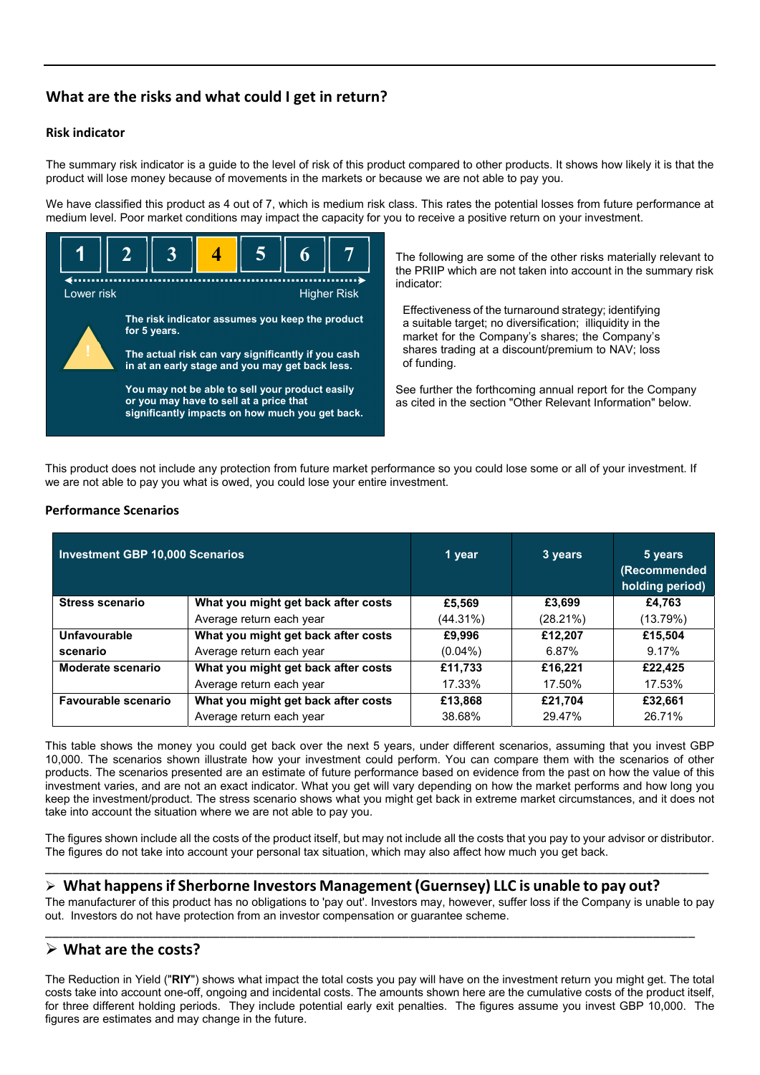### **What are the risks and what could I get in return?**

### **Risk indicator**

The summary risk indicator is a guide to the level of risk of this product compared to other products. It shows how likely it is that the product will lose money because of movements in the markets or because we are not able to pay you.

We have classified this product as 4 out of 7, which is medium risk class. This rates the potential losses from future performance at medium level. Poor market conditions may impact the capacity for you to receive a positive return on your investment.



The following are some of the other risks materially relevant to the PRIIP which are not taken into account in the summary risk indicator:

Effectiveness of the turnaround strategy; identifying a suitable target; no diversification; illiquidity in the market for the Company's shares; the Company's shares trading at a discount/premium to NAV; loss of funding.

See further the forthcoming annual report for the Company as cited in the section "Other Relevant Information" below.

This product does not include any protection from future market performance so you could lose some or all of your investment. If we are not able to pay you what is owed, you could lose your entire investment.

### **Performance Scenarios**

| <b>Investment GBP 10,000 Scenarios</b> | 1 year                              | 3 years     | 5 years<br>(Recommended<br>holding period) |          |
|----------------------------------------|-------------------------------------|-------------|--------------------------------------------|----------|
| <b>Stress scenario</b>                 | What you might get back after costs | £5.569      | £3.699                                     | £4.763   |
|                                        | Average return each year            | $(44.31\%)$ | $(28.21\%)$                                | (13.79%) |
| Unfavourable                           | What you might get back after costs | £9,996      | £12,207                                    | £15,504  |
| scenario                               | Average return each year            | $(0.04\%)$  | 6.87%                                      | 9.17%    |
| Moderate scenario                      | What you might get back after costs | £11,733     | £16.221                                    | £22,425  |
|                                        | Average return each year            | 17.33%      | 17.50%                                     | 17.53%   |
| <b>Favourable scenario</b>             | What you might get back after costs | £13,868     | £21,704                                    | £32,661  |
|                                        | Average return each year            | 38.68%      | 29.47%                                     | 26.71%   |

This table shows the money you could get back over the next 5 years, under different scenarios, assuming that you invest GBP 10,000. The scenarios shown illustrate how your investment could perform. You can compare them with the scenarios of other products. The scenarios presented are an estimate of future performance based on evidence from the past on how the value of this investment varies, and are not an exact indicator. What you get will vary depending on how the market performs and how long you keep the investment/product. The stress scenario shows what you might get back in extreme market circumstances, and it does not take into account the situation where we are not able to pay you.

The figures shown include all the costs of the product itself, but may not include all the costs that you pay to your advisor or distributor. The figures do not take into account your personal tax situation, which may also affect how much you get back. \_\_\_\_\_\_\_\_\_\_\_\_\_\_\_\_\_\_\_\_\_\_\_\_\_\_\_\_\_\_\_\_\_\_\_\_\_\_\_\_\_\_\_\_\_\_\_\_\_\_\_\_\_\_\_\_\_\_\_\_\_\_\_\_\_\_\_\_\_\_\_\_\_\_\_\_\_\_\_\_\_\_\_\_\_\_\_\_\_\_\_\_\_\_\_

### **What happensif Sherborne Investors Management (Guernsey) LLC is unable to pay out?**

The manufacturer of this product has no obligations to 'pay out'. Investors may, however, suffer loss if the Company is unable to pay out. Investors do not have protection from an investor compensation or guarantee scheme.

\_\_\_\_\_\_\_\_\_\_\_\_\_\_\_\_\_\_\_\_\_\_\_\_\_\_\_\_\_\_\_\_\_\_\_\_\_\_\_\_\_\_\_\_\_\_\_\_\_\_\_\_\_\_\_\_\_\_\_\_\_\_\_\_\_\_\_\_\_\_\_\_\_\_\_\_\_\_\_\_\_\_\_\_\_\_\_\_\_\_\_\_\_

### **What are the costs?**

The Reduction in Yield ("**RIY**") shows what impact the total costs you pay will have on the investment return you might get. The total costs take into account one-off, ongoing and incidental costs. The amounts shown here are the cumulative costs of the product itself, for three different holding periods. They include potential early exit penalties. The figures assume you invest GBP 10,000. The figures are estimates and may change in the future.